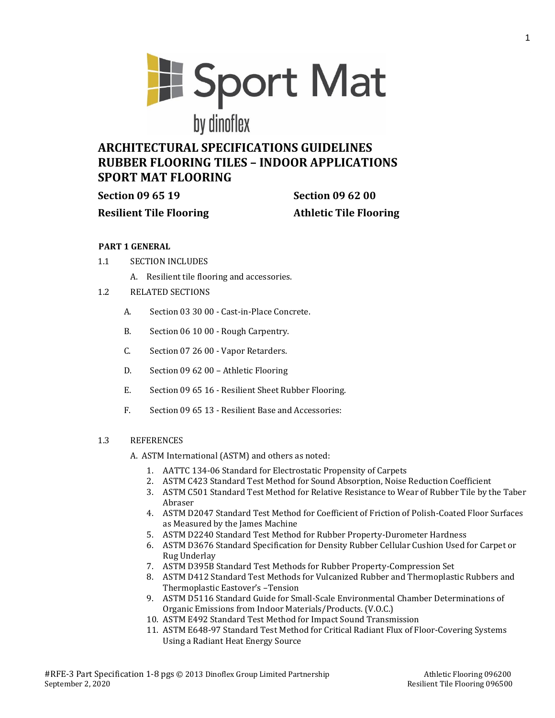**El Sport Mat** by dinoflex

# **ARCHITECTURAL SPECIFICATIONS GUIDELINES RUBBER FLOORING TILES – INDOOR APPLICATIONS SPORT MAT FLOORING**

**Resilient Tile Flooring Athletic Tile Flooring**

**Section 09 65 19 Section 09 62 00**

# **PART 1 GENERAL**

- 1.1 SECTION INCLUDES
	- A. Resilient tile flooring and accessories.
- 1.2 RELATED SECTIONS
	- A. Section 03 30 00 Cast-in-Place Concrete.
	- B. Section 06 10 00 Rough Carpentry.
	- C. Section 07 26 00 Vapor Retarders.
	- D. Section 09 62 00 Athletic Flooring
	- E. Section 09 65 16 Resilient Sheet Rubber Flooring.
	- F. Section 09 65 13 Resilient Base and Accessories:

# 1.3 REFERENCES

- A. ASTM International (ASTM) and others as noted:
	- 1. AATTC 134-06 Standard for Electrostatic Propensity of Carpets
	- 2. ASTM C423 Standard Test Method for Sound Absorption, Noise Reduction Coefficient
	- 3. ASTM C501 Standard Test Method for Relative Resistance to Wear of Rubber Tile by the Taber Abraser
	- 4. ASTM D2047 Standard Test Method for Coefficient of Friction of Polish-Coated Floor Surfaces as Measured by the James Machine
	- 5. ASTM D2240 Standard Test Method for Rubber Property-Durometer Hardness
	- 6. ASTM D3676 Standard Specification for Density Rubber Cellular Cushion Used for Carpet or Rug Underlay
	- 7. ASTM D395B Standard Test Methods for Rubber Property-Compression Set
	- 8. ASTM D412 Standard Test Methods for Vulcanized Rubber and Thermoplastic Rubbers and Thermoplastic Eastover's –Tension
	- 9. ASTM D5116 Standard Guide for Small-Scale Environmental Chamber Determinations of Organic Emissions from Indoor Materials/Products. (V.O.C.)
	- 10. ASTM E492 Standard Test Method for Impact Sound Transmission
	- 11. ASTM E648-97 Standard Test Method for Critical Radiant Flux of Floor-Covering Systems Using a Radiant Heat Energy Source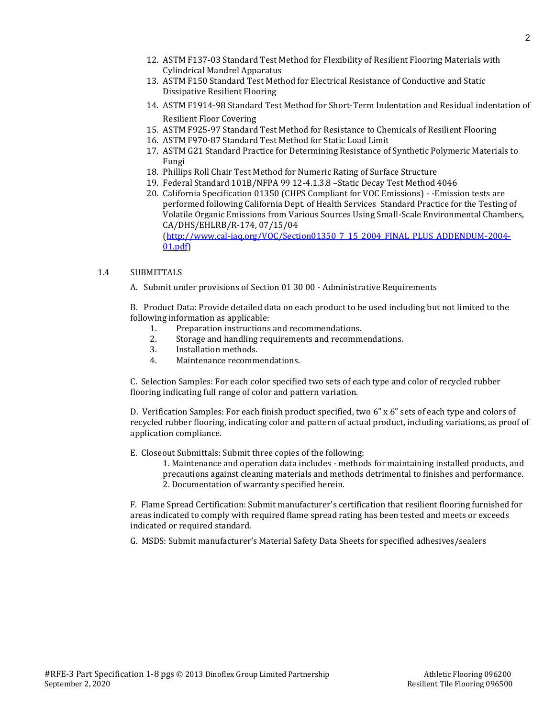- 12. ASTM F137-03 Standard Test Method for Flexibility of Resilient Flooring Materials with Cylindrical Mandrel Apparatus
- 13. ASTM F150 Standard Test Method for Electrical Resistance of Conductive and Static Dissipative Resilient Flooring
- 14. ASTM F1914-98 Standard Test Method for Short-Term Indentation and Residual indentation of Resilient Floor Covering
- 15. ASTM F925-97 Standard Test Method for Resistance to Chemicals of Resilient Flooring
- 16. ASTM F970-87 Standard Test Method for Static Load Limit
- 17. ASTM G21 Standard Practice for Determining Resistance of Synthetic Polymeric Materials to Fungi
- 18. Phillips Roll Chair Test Method for Numeric Rating of Surface Structure
- 19. Federal Standard 101B/NFPA 99 12-4.1.3.8 –Static Decay Test Method 4046
- 20. California Specification 01350 (CHPS Compliant for VOC Emissions) -Emission tests are performed following California Dept. of Health Services Standard Practice for the Testing of Volatile Organic Emissions from Various Sources Using Small-Scale Environmental Chambers, CA/DHS/EHLRB/R-174, 07/15/04 [\(http://www.cal-iaq.org/VOC/Section01350\\_7\\_15\\_2004\\_FINAL\\_PLUS\\_ADDENDUM-2004-](http://www.cal-iaq.org/VOC/Section01350_7_15_2004_FINAL_PLUS_ADDENDUM-2004-01.pdf)

```
01.pdf)
```
#### 1.4 SUBMITTALS

A. Submit under provisions of Section 01 30 00 - Administrative Requirements

B. Product Data: Provide detailed data on each product to be used including but not limited to the following information as applicable:

- 1. Preparation instructions and recommendations.
- 2. Storage and handling requirements and recommendations.
- 3. Installation methods.
- 4. Maintenance recommendations.

C. Selection Samples: For each color specified two sets of each type and color of recycled rubber flooring indicating full range of color and pattern variation.

D. Verification Samples: For each finish product specified, two 6" x 6" sets of each type and colors of recycled rubber flooring, indicating color and pattern of actual product, including variations, as proof of application compliance.

E. Closeout Submittals: Submit three copies of the following:

1. Maintenance and operation data includes - methods for maintaining installed products, and precautions against cleaning materials and methods detrimental to finishes and performance. 2. Documentation of warranty specified herein.

F. Flame Spread Certification: Submit manufacturer's certification that resilient flooring furnished for areas indicated to comply with required flame spread rating has been tested and meets or exceeds indicated or required standard.

G. MSDS: Submit manufacturer's Material Safety Data Sheets for specified adhesives/sealers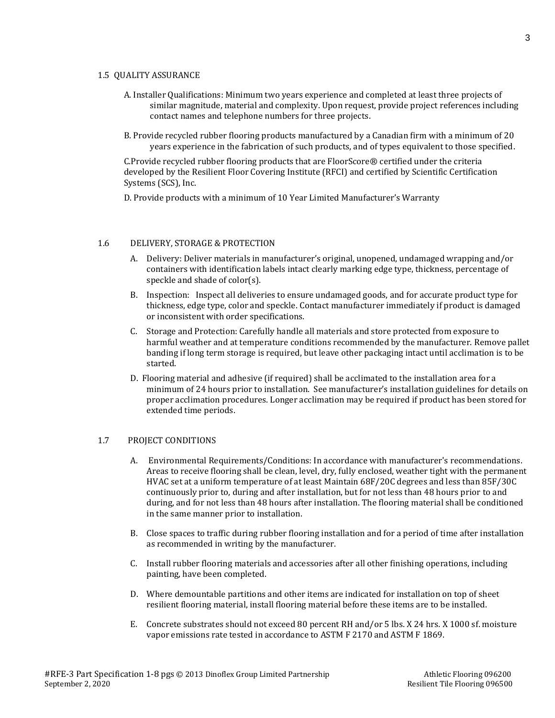#### 1.5 QUALITY ASSURANCE

- A. Installer Qualifications: Minimum two years experience and completed at least three projects of similar magnitude, material and complexity. Upon request, provide project references including contact names and telephone numbers for three projects.
- B. Provide recycled rubber flooring products manufactured by a Canadian firm with a minimum of 20 years experience in the fabrication of such products, and of types equivalent to those specified.

C.Provide recycled rubber flooring products that are FloorScore® certified under the criteria developed by the Resilient Floor Covering Institute (RFCI) and certified by Scientific Certification Systems (SCS), Inc.

D. Provide products with a minimum of 10 Year Limited Manufacturer's Warranty

#### 1.6 DELIVERY, STORAGE & PROTECTION

- A. Delivery: Deliver materials in manufacturer's original, unopened, undamaged wrapping and/or containers with identification labels intact clearly marking edge type, thickness, percentage of speckle and shade of color(s).
- B. Inspection: Inspect all deliveries to ensure undamaged goods, and for accurate product type for thickness, edge type, color and speckle. Contact manufacturer immediately if product is damaged or inconsistent with order specifications.
- C. Storage and Protection: Carefully handle all materials and store protected from exposure to harmful weather and at temperature conditions recommended by the manufacturer. Remove pallet banding if long term storage is required, but leave other packaging intact until acclimation is to be started.
- D. Flooring material and adhesive (if required) shall be acclimated to the installation area for a minimum of 24 hours prior to installation. See manufacturer's installation guidelines for details on proper acclimation procedures. Longer acclimation may be required if product has been stored for extended time periods.

#### 1.7 PROJECT CONDITIONS

- A. Environmental Requirements/Conditions: In accordance with manufacturer's recommendations. Areas to receive flooring shall be clean, level, dry, fully enclosed, weather tight with the permanent HVAC set at a uniform temperature of at least Maintain 68F/20C degrees and less than 85F/30C continuously prior to, during and after installation, but for not less than 48 hours prior to and during, and for not less than 48 hours after installation. The flooring material shall be conditioned in the same manner prior to installation.
- B. Close spaces to traffic during rubber flooring installation and for a period of time after installation as recommended in writing by the manufacturer.
- C. Install rubber flooring materials and accessories after all other finishing operations, including painting, have been completed.
- D. Where demountable partitions and other items are indicated for installation on top of sheet resilient flooring material, install flooring material before these items are to be installed.
- E. Concrete substrates should not exceed 80 percent RH and/or 5 lbs. X 24 hrs. X 1000 sf. moisture vapor emissions rate tested in accordance to ASTM F 2170 and ASTM F 1869.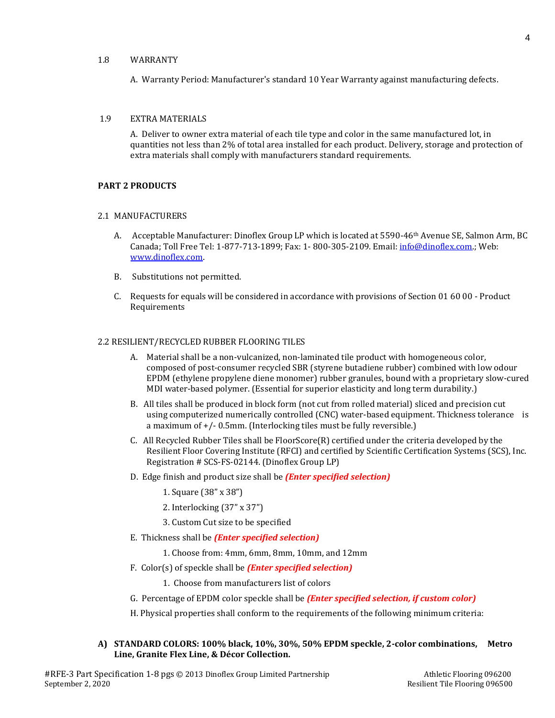## 1.8 WARRANTY

A. Warranty Period: Manufacturer's standard 10 Year Warranty against manufacturing defects.

#### 1.9 EXTRA MATERIALS

A. Deliver to owner extra material of each tile type and color in the same manufactured lot, in quantities not less than 2% of total area installed for each product. Delivery, storage and protection of extra materials shall comply with manufacturers standard requirements.

# **PART 2 PRODUCTS**

#### 2.1 MANUFACTURERS

- A. Acceptable Manufacturer: Dinoflex Group LP which is located at 5590-46<sup>th</sup> Avenue SE, Salmon Arm, BC Canada; Toll Free Tel: 1-877-713-1899; Fax: 1- 800-305-2109. Email: [info@dinoflex.com.;](mailto:info@dinoflex.com) Web: [www.dinoflex.com.](http://www.dinoflex.com/)
- B. Substitutions not permitted.
- C. Requests for equals will be considered in accordance with provisions of Section 01 60 00 Product **Requirements**

#### 2.2 RESILIENT/RECYCLED RUBBER FLOORING TILES

- A. Material shall be a non-vulcanized, non-laminated tile product with homogeneous color, composed of post-consumer recycled SBR (styrene butadiene rubber) combined with low odour EPDM (ethylene propylene diene monomer) rubber granules, bound with a proprietary slow-cured MDI water-based polymer. (Essential for superior elasticity and long term durability.)
- B. All tiles shall be produced in block form (not cut from rolled material) sliced and precision cut using computerized numerically controlled (CNC) water-based equipment. Thickness tolerance is a maximum of +/- 0.5mm. (Interlocking tiles must be fully reversible.)
- C. All Recycled Rubber Tiles shall be FloorScore(R) certified under the criteria developed by the Resilient Floor Covering Institute (RFCI) and certified by Scientific Certification Systems (SCS), Inc. Registration # SCS-FS-02144. (Dinoflex Group LP)
- D. Edge finish and product size shall be *(Enter specified selection)*

1. Square (38" x 38")

- 2. Interlocking (37" x 37")
- 3. Custom Cut size to be specified
- E. Thickness shall be *(Enter specified selection)*

1. Choose from: 4mm, 6mm, 8mm, 10mm, and 12mm

F. Color(s) of speckle shall be *(Enter specified selection)*

1. Choose from manufacturers list of colors

G. Percentage of EPDM color speckle shall be *(Enter specified selection, if custom color)*

H. Physical properties shall conform to the requirements of the following minimum criteria:

**A) STANDARD COLORS: 100% black, 10%, 30%, 50% EPDM speckle, 2-color combinations, Metro Line, Granite Flex Line, & Décor Collection.**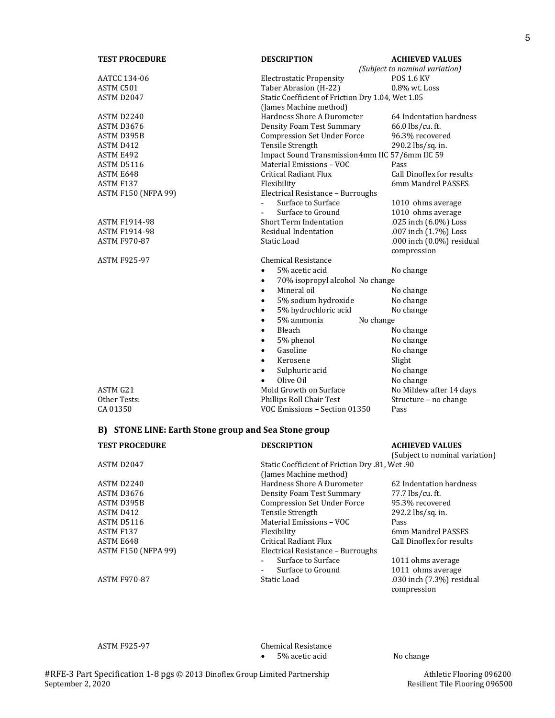| <b>TEST PROCEDURE</b>                                | <b>DESCRIPTION</b>                                | <b>ACHIEVED VALUES</b>         |  |  |
|------------------------------------------------------|---------------------------------------------------|--------------------------------|--|--|
|                                                      |                                                   | (Subject to nominal variation) |  |  |
| AATCC 134-06                                         | <b>Electrostatic Propensity</b>                   | <b>POS 1.6 KV</b>              |  |  |
| ASTM C501                                            | Taber Abrasion (H-22)                             | $0.8\%$ wt. Loss               |  |  |
| ASTM D2047                                           | Static Coefficient of Friction Dry 1.04, Wet 1.05 |                                |  |  |
|                                                      | (James Machine method)                            |                                |  |  |
| ASTM D2240                                           | Hardness Shore A Durometer                        | 64 Indentation hardness        |  |  |
| ASTM D3676                                           | <b>Density Foam Test Summary</b>                  | 66.0 lbs/cu. ft.               |  |  |
| ASTM D395B                                           | <b>Compression Set Under Force</b>                | 96.3% recovered                |  |  |
| ASTM D412                                            | Tensile Strength                                  | 290.2 lbs/sq. in.              |  |  |
| ASTM E492                                            | Impact Sound Transmission 4mm IIC 57/6mm IIC 59   |                                |  |  |
| ASTM D5116                                           | Material Emissions - VOC                          | Pass                           |  |  |
| ASTM E648                                            | Critical Radiant Flux                             | Call Dinoflex for results      |  |  |
| ASTM F137                                            | Flexibility                                       | 6mm Mandrel PASSES             |  |  |
| <b>ASTM F150 (NFPA 99)</b>                           | Electrical Resistance - Burroughs                 |                                |  |  |
|                                                      | $\overline{a}$<br>Surface to Surface              | 1010 ohms average              |  |  |
|                                                      | Surface to Ground                                 | 1010 ohms average              |  |  |
| <b>ASTM F1914-98</b>                                 | <b>Short Term Indentation</b>                     | .025 inch (6.0%) Loss          |  |  |
| <b>ASTM F1914-98</b>                                 | Residual Indentation                              | .007 inch (1.7%) Loss          |  |  |
| ASTM F970-87                                         | Static Load                                       | .000 inch (0.0%) residual      |  |  |
|                                                      |                                                   | compression                    |  |  |
| <b>ASTM F925-97</b>                                  | Chemical Resistance                               |                                |  |  |
|                                                      | 5% acetic acid<br>$\bullet$                       | No change                      |  |  |
|                                                      | 70% isopropyl alcohol No change<br>$\bullet$      |                                |  |  |
|                                                      | Mineral oil<br>$\bullet$                          | No change                      |  |  |
|                                                      | 5% sodium hydroxide<br>$\bullet$                  | No change                      |  |  |
|                                                      | 5% hydrochloric acid<br>$\bullet$                 | No change                      |  |  |
|                                                      | 5% ammonia<br>No change<br>$\bullet$              |                                |  |  |
|                                                      | Bleach<br>$\bullet$                               | No change                      |  |  |
|                                                      | 5% phenol<br>$\bullet$                            | No change                      |  |  |
|                                                      | Gasoline<br>$\bullet$                             | No change                      |  |  |
|                                                      | Kerosene<br>$\bullet$                             | Slight                         |  |  |
|                                                      | Sulphuric acid<br>$\bullet$                       | No change                      |  |  |
|                                                      | Olive Oil<br>$\bullet$                            | No change                      |  |  |
| ASTM G21                                             | Mold Growth on Surface                            | No Mildew after 14 days        |  |  |
| Other Tests:                                         | Phillips Roll Chair Test                          | Structure - no change          |  |  |
| CA 01350                                             | VOC Emissions - Section 01350                     | Pass                           |  |  |
|                                                      |                                                   |                                |  |  |
| B) STONE LINE: Earth Stone group and Sea Stone group |                                                   |                                |  |  |
| <b>TEST PROCEDURE</b>                                | <b>DESCRIPTION</b>                                | <b>ACHIEVED VALUES</b>         |  |  |
|                                                      |                                                   | (Subject to nominal variation) |  |  |
| ASTM D2047                                           | 90. Static Coefficient of Friction Dry .81, Wet   |                                |  |  |
|                                                      | (James Machine method)                            |                                |  |  |

| ASTM D2047                 | Static Coefficient of Friction Dry .81, Wet .90 |                                          |
|----------------------------|-------------------------------------------------|------------------------------------------|
|                            | (James Machine method)                          |                                          |
| ASTM D2240                 | Hardness Shore A Durometer                      | 62 Indentation hardness                  |
| ASTM D3676                 | Density Foam Test Summary                       | 77.7 lbs/cu. ft.                         |
| ASTM D395B                 | <b>Compression Set Under Force</b>              | 95.3% recovered                          |
| ASTM D412                  | Tensile Strength                                | 292.2 lbs/sq. in.                        |
| ASTM D5116                 | Material Emissions - VOC                        | Pass                                     |
| ASTM F137                  | Flexibility                                     | 6mm Mandrel PASSES                       |
| ASTM E648                  | Critical Radiant Flux                           | Call Dinoflex for results                |
| <b>ASTM F150 (NFPA 99)</b> | Electrical Resistance - Burroughs               |                                          |
|                            | Surface to Surface                              | 1011 ohms average                        |
|                            | Surface to Ground<br>$\qquad \qquad -$          | 1011 ohms average                        |
| <b>ASTM F970-87</b>        | Static Load                                     | .030 inch (7.3%) residual<br>compression |

ASTM F925-97 Chemical Resistance • 5% acetic acid No change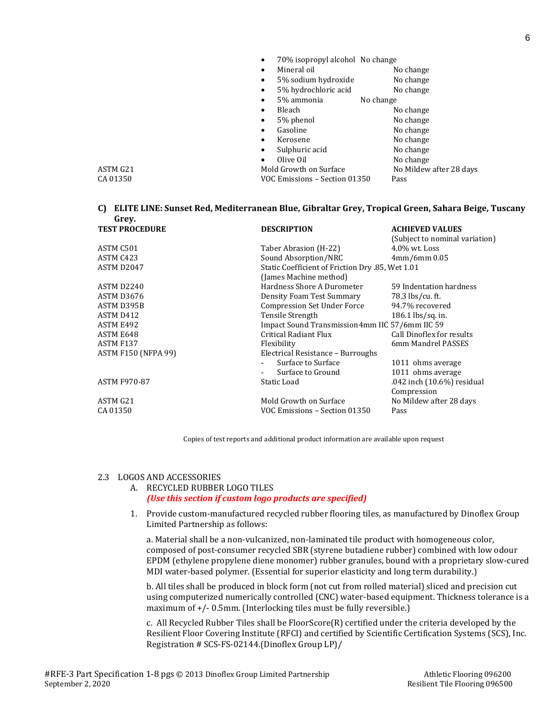|          | 70% isopropyl alcohol No change |                         |
|----------|---------------------------------|-------------------------|
|          | Mineral oil<br>٠                | No change               |
|          | 5% sodium hydroxide             | No change               |
|          | 5% hydrochloric acid<br>٠       | No change               |
|          | 5% ammonia                      | No change               |
|          | Bleach<br>٠                     | No change               |
|          | 5% phenol                       | No change               |
|          | Gasoline                        | No change               |
|          | Kerosene<br>٠                   | No change               |
|          | Sulphuric acid<br>٠             | No change               |
|          | Olive Oil<br>$\bullet$          | No change               |
| ASTM G21 | Mold Growth on Surface          | No Mildew after 28 days |
| CA 01350 | VOC Emissions – Section 01350   | Pass                    |

#### **C) ELITE LINE: Sunset Red, Mediterranean Blue, Gibraltar Grey, Tropical Green, Sahara Beige, Tuscany Grey.**

| <b>TEST PROCEDURE</b>      | <b>DESCRIPTION</b>                               | <b>ACHIEVED VALUES</b>         |
|----------------------------|--------------------------------------------------|--------------------------------|
|                            |                                                  | (Subject to nominal variation) |
| ASTM C501                  | Taber Abrasion (H-22)                            | $4.0\%$ wt. Loss               |
| ASTM C423                  | Sound Absorption/NRC                             | $4mm/6mm$ 0.05                 |
| ASTM D2047                 | Static Coefficient of Friction Dry .85, Wet 1.01 |                                |
|                            | (James Machine method)                           |                                |
| ASTM D2240                 | Hardness Shore A Durometer                       | 59 Indentation hardness        |
| ASTM D3676                 | Density Foam Test Summary                        | 78.3 lbs/cu. ft.               |
| ASTM D395B                 | <b>Compression Set Under Force</b>               | 94.7% recovered                |
| ASTM D412                  | Tensile Strength                                 | 186.1 lbs/sq. in.              |
| ASTM E492                  | Impact Sound Transmission 4mm IIC 57/6mm IIC 59  |                                |
| ASTM E648                  | Critical Radiant Flux                            | Call Dinoflex for results      |
| ASTM F137                  | Flexibility                                      | 6mm Mandrel PASSES             |
| <b>ASTM F150 (NFPA 99)</b> | Electrical Resistance - Burroughs                |                                |
|                            | Surface to Surface                               | 1011 ohms average              |
|                            | Surface to Ground                                | 1011 ohms average              |
| <b>ASTM F970-87</b>        | Static Load                                      | .042 inch (10.6%) residual     |
|                            |                                                  | Compression                    |
| ASTM G21                   | Mold Growth on Surface                           | No Mildew after 28 days        |
| CA 01350                   | VOC Emissions – Section 01350                    | Pass                           |

Copies of test reports and additional product information are available upon request

#### 2.3 LOGOS AND ACCESSORIES

# A. RECYCLED RUBBER LOGO TILES *(Use this section if custom logo products are specified)*

1. Provide custom-manufactured recycled rubber flooring tiles, as manufactured by Dinoflex Group Limited Partnership as follows:

a. Material shall be a non-vulcanized, non-laminated tile product with homogeneous color, composed of post-consumer recycled SBR (styrene butadiene rubber) combined with low odour EPDM (ethylene propylene diene monomer) rubber granules, bound with a proprietary slow-cured MDI water-based polymer. (Essential for superior elasticity and long term durability.)

b. All tiles shall be produced in block form (not cut from rolled material) sliced and precision cut using computerized numerically controlled (CNC) water-based equipment. Thickness tolerance is a maximum of  $+/-$  0.5mm. (Interlocking tiles must be fully reversible.)

c. All Recycled Rubber Tiles shall be FloorScore(R) certified under the criteria developed by the Resilient Floor Covering Institute (RFCI) and certified by Scientific Certification Systems (SCS), Inc. Registration # SCS-FS-02144.(Dinoflex Group LP)/

6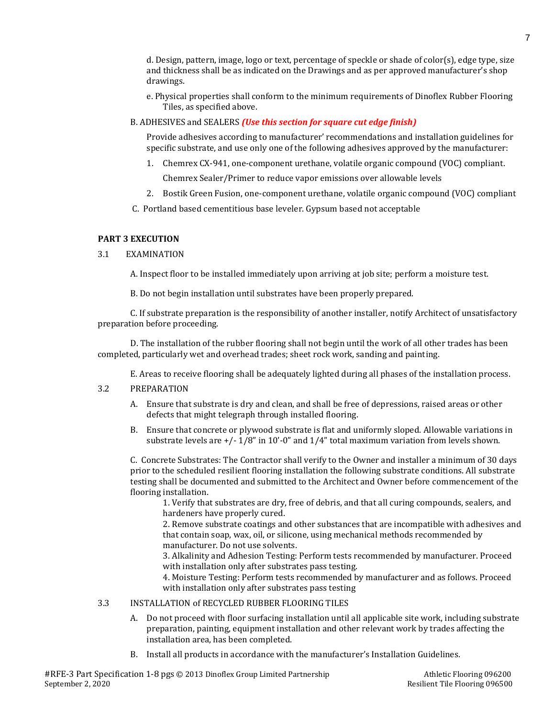d. Design, pattern, image, logo or text, percentage of speckle or shade of color(s), edge type, size and thickness shall be as indicated on the Drawings and as per approved manufacturer's shop drawings.

- e. Physical properties shall conform to the minimum requirements of Dinoflex Rubber Flooring Tiles, as specified above.
- B. ADHESIVES and SEALERS *(Use this section for square cut edge finish)*

Provide adhesives according to manufacturer' recommendations and installation guidelines for specific substrate, and use only one of the following adhesives approved by the manufacturer:

- 1. Chemrex CX-941, one-component urethane, volatile organic compound (VOC) compliant.
	- Chemrex Sealer/Primer to reduce vapor emissions over allowable levels
- 2. Bostik Green Fusion, one-component urethane, volatile organic compound (VOC) compliant
- C. Portland based cementitious base leveler. Gypsum based not acceptable

## **PART 3 EXECUTION**

## 3.1 EXAMINATION

A. Inspect floor to be installed immediately upon arriving at job site; perform a moisture test.

B. Do not begin installation until substrates have been properly prepared.

C. If substrate preparation is the responsibility of another installer, notify Architect of unsatisfactory preparation before proceeding.

D. The installation of the rubber flooring shall not begin until the work of all other trades has been completed, particularly wet and overhead trades; sheet rock work, sanding and painting.

E. Areas to receive flooring shall be adequately lighted during all phases of the installation process.

- 3.2 PREPARATION
	- A. Ensure that substrate is dry and clean, and shall be free of depressions, raised areas or other defects that might telegraph through installed flooring.
	- B. Ensure that concrete or plywood substrate is flat and uniformly sloped. Allowable variations in substrate levels are +/- 1/8" in 10'-0" and 1/4" total maximum variation from levels shown.

C. Concrete Substrates: The Contractor shall verify to the Owner and installer a minimum of 30 days prior to the scheduled resilient flooring installation the following substrate conditions. All substrate testing shall be documented and submitted to the Architect and Owner before commencement of the flooring installation.

1. Verify that substrates are dry, free of debris, and that all curing compounds, sealers, and hardeners have properly cured.

2. Remove substrate coatings and other substances that are incompatible with adhesives and that contain soap, wax, oil, or silicone, using mechanical methods recommended by manufacturer. Do not use solvents.

3. Alkalinity and Adhesion Testing: Perform tests recommended by manufacturer. Proceed with installation only after substrates pass testing.

4. Moisture Testing: Perform tests recommended by manufacturer and as follows. Proceed with installation only after substrates pass testing

- 3.3 INSTALLATION of RECYCLED RUBBER FLOORING TILES
	- A. Do not proceed with floor surfacing installation until all applicable site work, including substrate preparation, painting, equipment installation and other relevant work by trades affecting the installation area, has been completed.
	- B. Install all products in accordance with the manufacturer's Installation Guidelines.